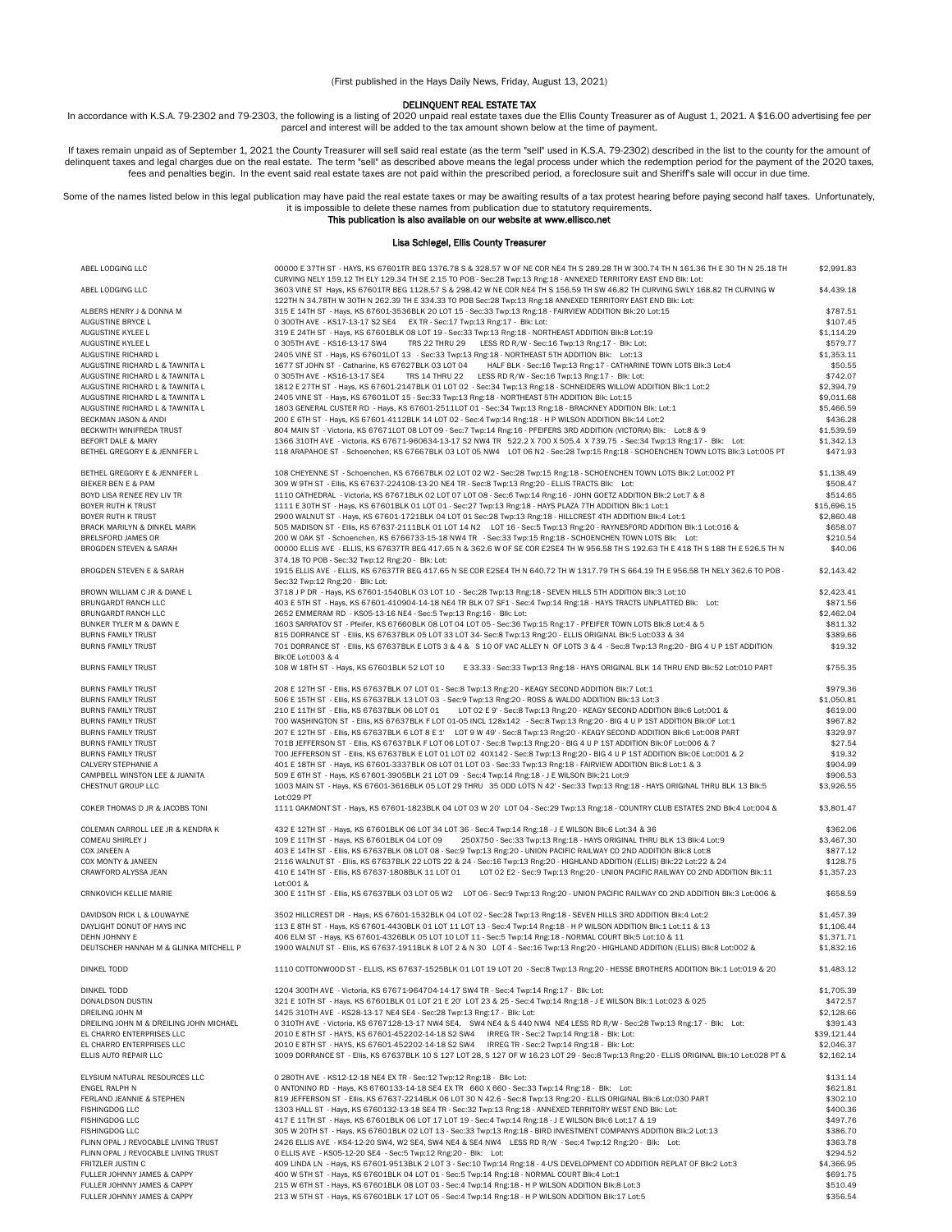(First published in the Hays Daily News, Friday, August 13, 2021)

DELINQUENT REAL ESTATE TAX<br>In accordance with K.S.A. 79-2302 and 79-2303, the following is a listing of 2020 unpaid real estate taxes due the Ellis County Treasurer as of August 1, 2021. A \$16.00 advertising fee per<br>parcel

If taxes remain unpaid as of September 1, 2021 the County Treasurer will sell said real estate (as the term "sell" used in K.S.A. 79-2302) described in the list to the county for the amount of delinquent taxes and legal ch

Some of the names listed below in this legal publication may have paid the real estate taxes or may be awaiting results of a tax protest hearing before paying second half taxes. Unfortunately, it is impossible to delete these names from publication due to statutory requirements.<br>This publication is also available on our website at www.ellisco.net

## Lisa Schlegel, Ellis County Treasurer

| ABEL LODGING LLC                        | 00000 E37TH ST - HAYS, KS 67601TR BEG 1376.78 S & 328.57 W OF NE COR NE4 TH S 289.28 TH W 300.74 TH N 161.36 TH E 30 TH N 25.18 TH                                                                                                                            | \$2,991.83  |
|-----------------------------------------|---------------------------------------------------------------------------------------------------------------------------------------------------------------------------------------------------------------------------------------------------------------|-------------|
|                                         | CURVING NELY 159.12 TH ELY 129.34 TH SE 2.15 TO POB - Sec:28 Twp:13 Rng:18 - ANNEXED TERRITORY EAST END BIK: Lot:                                                                                                                                             |             |
| ABEL LODGING LLC                        | 3603 VINE ST Hays, KS 67601TR BEG 1128.57 S & 298.42 W NE COR NE4 TH S 156.59 TH SW 46.82 TH CURVING SWLY 168.82 TH CURVING W                                                                                                                                 | \$4,439.18  |
|                                         | 122TH N 34.78TH W 30TH N 262.39 TH E 334.33 TO POB Sec:28 Twp:13 Rng:18 ANNEXED TERRITORY EAST END BIK: Lot:                                                                                                                                                  |             |
| ALBERS HENRY J & DONNA M                | 315 E 14TH ST - Hays, KS 67601-3536BLK 20 LOT 15 - Sec:33 Twp:13 Rng:18 - FAIRVIEW ADDITION Blk:20 Lot:15                                                                                                                                                     | \$787.51    |
| AUGUSTINE BRYCE L                       | 0 300TH AVE - KS17-13-17 S2 SE4 EX TR - Sec:17 Twp:13 Rng:17 - Blk: Lot:                                                                                                                                                                                      | \$107.45    |
| AUGUSTINE KYLEE L                       | 319 E 24TH ST - Hays, KS 67601BLK 08 LOT 19 - Sec:33 Twp:13 Rng:18 - NORTHEAST ADDITION Blk:8 Lot:19                                                                                                                                                          | \$1,114.29  |
| AUGUSTINE KYLEE L                       | 0 305TH AVE - KS16-13-17 SW4<br>TRS 22 THRU 29 LESS RD R/W - Sec:16 Twp:13 Rng:17 - Blk: Lot:                                                                                                                                                                 | \$579.77    |
| AUGUSTINE RICHARD L                     | 2405 VINE ST - Hays, KS 67601L0T 13 - Sec:33 Twp:13 Rng:18 - NORTHEAST 5TH ADDITION Blk: Lot:13                                                                                                                                                               | \$1.353.11  |
| AUGUSTINE RICHARD L & TAWNITA L         | 1677 ST JOHN ST - Catharine, KS 67627BLK 03 LOT 04<br>HALF BLK - Sec:16 Twp:13 Rng:17 - CATHARINE TOWN LOTS BIk:3 Lot:4                                                                                                                                       | \$50.55     |
| AUGUSTINE RICHARD L & TAWNITA L         | 0 305TH AVE - KS16-13-17 SE4<br>TRS 14 THRU 22 LESS RD R/W - Sec:16 Twp:13 Rng:17 - Blk: Lot:                                                                                                                                                                 | \$742.07    |
| AUGUSTINE RICHARD L & TAWNITA L         | 1812 E 27TH ST - Hays, KS 67601-2147BLK 01 LOT 02 - Sec:34 Twp:13 Rng:18 - SCHNEIDERS WILLOW ADDITION BIK:1 Lot:2                                                                                                                                             | \$2,394.79  |
| AUGUSTINE RICHARD L & TAWNITA L         | 2405 VINE ST - Hays, KS 67601L0T 15 - Sec:33 Twp:13 Rng:18 - NORTHEAST 5TH ADDITION Blk: Lot:15                                                                                                                                                               | \$9,011.68  |
| AUGUSTINE RICHARD L & TAWNITA L         | 1803 GENERAL CUSTER RD - Hays, KS 67601-2511LOT 01 - Sec:34 Twp:13 Rng:18 - BRACKNEY ADDITION Blk: Lot:1                                                                                                                                                      | \$5,466.59  |
| BECKMAN JASON & ANDI                    | 200 E 6TH ST - Hays, KS 67601-4112BLK 14 LOT 02 - Sec:4 Twp:14 Rng:18 - H P WILSON ADDITION BIk:14 Lot:2                                                                                                                                                      | \$436.28    |
| BECKWITH WINIFREDA TRUST                | 804 MAIN ST - Victoria, KS 67671LOT 08 LOT 09 - Sec: 7 Twp:14 Rng:16 - PFEIFERS 3RD ADDITION (VICTORIA) Blk: Lot:8 & 9                                                                                                                                        | \$1,539.59  |
| <b>BEFORT DALE &amp; MARY</b>           | 1366 310TH AVE - Victoria, KS 67671-960634-13-17 S2 NW4 TR 522.2 X 700 X 505.4 X 739.75 - Sec:34 Twp:13 Rng:17 - Blk: Lot:                                                                                                                                    | \$1,342.13  |
| BETHEL GREGORY E & JENNIFER L           | 118 ARAPAHOE ST - Schoenchen, KS 67667BLK 03 LOT 05 NW4 LOT 06 N2 - Sec:28 Twp:15 Rng:18 - SCHOENCHEN TOWN LOTS BIk:3 Lot:005 PT                                                                                                                              | \$471.93    |
| BETHEL GREGORY E & JENNIFER L           | 108 CHEYENNE ST - Schoenchen, KS 67667BLK 02 LOT 02 W2 - Sec:28 Twp:15 Rng:18 - SCHOENCHEN TOWN LOTS Blk:2 Lot:002 PT                                                                                                                                         | \$1,138.49  |
| <b>BIEKER BEN E &amp; PAM</b>           | 309 W 9TH ST - Ellis, KS 67637-224108-13-20 NE4 TR - Sec:8 Twp:13 Rng:20 - ELLIS TRACTS Blk: Lot:                                                                                                                                                             | \$508.47    |
| BOYD LISA RENEE REV LIV TR              | 1110 CATHEDRAL - Victoria, KS 67671BLK 02 LOT 07 LOT 08 - Sec:6 Twp:14 Rng:16 - JOHN GOETZ ADDITION BIK:2 Lot:7 & 8                                                                                                                                           | \$514.65    |
| BOYER RUTH K TRUST                      | 1111 E 30TH ST - Hays, KS 67601BLK 01 LOT 01 - Sec: 27 Twp: 13 Rng: 18 - HAYS PLAZA 7TH ADDITION Blk: 1 Lot: 1                                                                                                                                                | \$15,696.15 |
| BOYER RUTH K TRUST                      | 2900 WALNUT ST - Hays, KS 67601-1721BLK 04 LOT 01 Sec:28 Twp:13 Rng:18 - HILLCREST 4TH ADDITION BIK:4 Lot:1                                                                                                                                                   | \$2,860.48  |
| BRACK MARILYN & DINKEL MARK             | 505 MADISON ST - Ellis, KS 67637-2111BLK 01 LOT 14 N2 LOT 16 - Sec: 5 Twp:13 Rng:20 - RAYNESFORD ADDITION Blk:1 Lot:016 &                                                                                                                                     | \$658.07    |
| BRELSFORD JAMES OR                      | 200 W OAK ST - Schoenchen, KS 6766733-15-18 NW4 TR - Sec:33 Twp:15 Rng:18 - SCHOENCHEN TOWN LOTS Blk: Lot:                                                                                                                                                    | \$210.54    |
| <b>BROGDEN STEVEN &amp; SARAH</b>       | 00000 ELLIS AVE - ELLIS, KS 67637TR BEG 417.65 N & 362.6 W OF SE COR E2SE4 TH W 956.58 TH S 192.63 TH E 418 TH S 188 TH E 526.5 TH N                                                                                                                          | \$40.06     |
|                                         | 374.18 TO POB - Sec:32 Twp:12 Rng:20 - Blk: Lot:                                                                                                                                                                                                              |             |
| <b>BROGDEN STEVEN E &amp; SARAH</b>     | 1915 ELLIS AVE - ELLIS, KS 67637TR BEG 417.65 N SE COR E2SE4 TH N 640.72 TH W 1317.79 TH S 664.19 TH E 956.58 TH NELY 362.6 TO POB -                                                                                                                          | \$2,143.42  |
|                                         | Sec:32 Twp:12 Rng:20 - Blk: Lot:                                                                                                                                                                                                                              |             |
| BROWN WILLIAM C JR & DIANE L            | 3718 J P DR - Hays, KS 67601-1540BLK 03 LOT 10 - Sec:28 Twp:13 Rng:18 - SEVEN HILLS 5TH ADDITION BIk:3 Lot:10                                                                                                                                                 | \$2,423.41  |
| BRUNGARDT RANCH LLC                     | 403 E 5TH ST - Hays, KS 67601-410904-14-18 NE4 TR BLK 07 SF1 - Sec:4 Twp:14 Rng:18 - HAYS TRACTS UNPLATTED Blk: Lot:                                                                                                                                          | \$871.56    |
| BRUNGARDT RANCH LLC                     | 2652 EMMERAM RD - KS05-13-16 NE4 - Sec:5 Twp:13 Rng:16 - Blk: Lot:                                                                                                                                                                                            | \$2,462.04  |
| BUNKER TYLER M & DAWN E                 | 1603 SARRATOV ST - Pfeifer, KS 67660BLK 08 LOT 04 LOT 05 - Sec:36 Twp:15 Rng:17 - PFEIFER TOWN LOTS BIK:8 Lot:4 & 5                                                                                                                                           | \$811.32    |
| <b>BURNS FAMILY TRUST</b>               | 815 DORRANCE ST - Ellis, KS 67637BLK 05 LOT 33 LOT 34- Sec:8 Twp:13 Rng:20 - ELLIS ORIGINAL Blk:5 Lot:033 & 34                                                                                                                                                | \$389.66    |
| <b>BURNS FAMILY TRUST</b>               | 701 DORRANCE ST - Ellis, KS 67637BLK E LOTS 3 & 4 & S 10 OF VAC ALLEY N OF LOTS 3 & 4 - Sec:8 Twp:13 Rng:20 - BIG 4 U P 1ST ADDITION                                                                                                                          | \$19.32     |
|                                         | Blk:0E Lot:003 & 4                                                                                                                                                                                                                                            |             |
| <b>BURNS FAMILY TRUST</b>               | E 33.33 - Sec:33 Twp:13 Rng:18 - HAYS ORIGINAL BLK 14 THRU END Blk:52 Lot:010 PART<br>108 W 18TH ST - Hays, KS 67601BLK 52 LOT 10                                                                                                                             | \$755.35    |
| <b>BURNS FAMILY TRUST</b>               | 208 E 12TH ST - Ellis, KS 67637BLK 07 LOT 01 - Sec:8 Twp:13 Rng:20 - KEAGY SECOND ADDITION Blk:7 Lot:1                                                                                                                                                        | \$979.36    |
| <b>BURNS FAMILY TRUST</b>               | 506 E 15TH ST - Ellis, KS 67637BLK 13 LOT 03 - Sec:9 Twp:13 Rng:20 - ROSS & WALDO ADDITION Blk:13 Lot:3                                                                                                                                                       | \$1,050.81  |
| <b>BURNS FAMILY TRUST</b>               | 210 E 11TH ST - Ellis, KS 67637BLK 06 LOT 01<br>LOT 02 E 9' - Sec:8 Twp:13 Rng:20 - KEAGY SECOND ADDITION Blk:6 Lot:001 &                                                                                                                                     | \$619.00    |
| <b>BURNS FAMILY TRUST</b>               | 700 WASHINGTON ST - Ellis, KS 67637BLK F LOT 01-05 INCL 128x142 - Sec:8 Twp:13 Rng:20 - BIG 4 U P 1ST ADDITION BIK:0F Lot:1                                                                                                                                   | \$967.82    |
| <b>BURNS FAMILY TRUST</b>               | 207 E 12TH ST - Ellis, KS 67637BLK 6 LOT 8 E 1' LOT 9 W 49' - Sec:8 Twp:13 Rng:20 - KEAGY SECOND ADDITION BIK:6 Lot:008 PART                                                                                                                                  | \$329.97    |
| <b>BURNS FAMILY TRUST</b>               | 701B JEFFERSON ST - Ellis, KS 67637BLK F LOT 06 LOT 07 - Sec: 8 Twp:13 Rng:20 - BIG 4 U P 1ST ADDITION BIk:0F Lot:006 & 7                                                                                                                                     | \$27.54     |
| <b>BURNS FAMILY TRUST</b>               | 700 JEFFERSON ST - Ellis, KS 67637BLK E LOT 01 LOT 02 40X142 - Sec:8 Twp:13 Rng:20 - BIG 4 U P 1ST ADDITION BIk:0E Lot:001 & 2                                                                                                                                | \$19.32     |
| CALVERY STEPHANIE A                     | 401 E 18TH ST - Hays, KS 67601-3337BLK 08 LOT 01 LOT 03 - Sec:33 Twp:13 Rng:18 - FAIRVIEW ADDITION BIk:8 Lot:1 & 3                                                                                                                                            | \$904.99    |
| CAMPBELL WINSTON LEE & JUANITA          | 509 E 6TH ST - Hays, KS 67601-3905BLK 21 LOT 09 - Sec:4 Twp:14 Rng:18 - J E WILSON Blk:21 Lot:9                                                                                                                                                               | \$906.53    |
| CHESTNUT GROUP LLC                      | 1003 MAIN ST - Hays, KS 67601-3616BLK 05 LOT 29 THRU 35 ODD LOTS N 42' - Sec:33 Twp:13 Rng:18 - HAYS ORIGINAL THRU BLK 13 Blk:5                                                                                                                               | \$3,926.55  |
|                                         | Lot:029 PT                                                                                                                                                                                                                                                    |             |
| COKER THOMAS D JR & JACOBS TONI         | 1111 OAKMONT ST - Hays, KS 67601-1823BLK 04 LOT 03 W 20' LOT 04 - Sec:29 Twp:13 Rng:18 - COUNTRY CLUB ESTATES 2ND Blk:4 Lot:004 &                                                                                                                             | \$3,801.47  |
|                                         |                                                                                                                                                                                                                                                               |             |
| COLEMAN CARROLL LEE JR & KENDRA K       | 432 E 12TH ST - Hays, KS 67601BLK 06 LOT 34 LOT 36 - Sec:4 Twp:14 Rng:18 - J E WILSON BIk:6 Lot:34 & 36                                                                                                                                                       | \$362.06    |
| COMEAU SHIRLEY J                        | 250X750 - Sec:33 Twp:13 Rng:18 - HAYS ORIGINAL THRU BLK 13 Blk:4 Lot:9<br>109 E 11TH ST - Hays, KS 67601BLK 04 LOT 09                                                                                                                                         | \$3,467.30  |
| COX JANEEN A<br>COX MONTY & JANEEN      | 403 E 14TH ST - Ellis, KS 67637BLK 08 LOT 08 - Sec:9 Twp:13 Rng:20 - UNION PACIFIC RAILWAY CO 2ND ADDITION BIK:8 Lot:8                                                                                                                                        | \$877.12    |
|                                         | 2116 WALNUT ST - Ellis, KS 67637BLK 22 LOTS 22 & 24 - Sec:16 Twp:13 Rng:20 - HIGHLAND ADDITION (ELLIS) Blk:22 Lot:22 & 24<br>410 E 14TH ST - Ellis, KS 67637-1808BLK 11 LOT 01 LOT 02 E2 - Sec:9 Twp:13 Rng:20 - UNION PACIFIC RAILWAY CO 2ND ADDITION BIK:11 | \$128.75    |
| CRAWFORD ALYSSA JEAN                    | Lot:001 &                                                                                                                                                                                                                                                     | \$1,357.23  |
| CRNKOVICH KELLIE MARIE                  | 300 E 11TH ST - Ellis, KS 67637BLK 03 LOT 05 W2 LOT 06 - Sec:9 Twp:13 Rng:20 - UNION PACIFIC RAILWAY CO 2ND ADDITION BIK:3 Lot:006 &                                                                                                                          | \$658.59    |
|                                         |                                                                                                                                                                                                                                                               |             |
| DAVIDSON RICK L & LOUWAYNE              | 3502 HILLCREST DR - Hays, KS 67601-1532BLK 04 LOT 02 - Sec:28 Twp:13 Rng:18 - SEVEN HILLS 3RD ADDITION BIk:4 Lot:2                                                                                                                                            | \$1,457.39  |
| DAYLIGHT DONUT OF HAYS INC              | 113 E 8TH ST - Hays, KS 67601-4430BLK 01 LOT 11 LOT 13 - Sec:4 Twp:14 Rng:18 - H P WILSON ADDITION Blk:1 Lot:11 & 13                                                                                                                                          | \$1,106.44  |
| DEHN JOHNNY E                           | 406 ELM ST - Hays, KS 67601-4326BLK 05 LOT 10 LOT 11 - Sec:5 Twp:14 Rng:18 - NORMAL COURT BIK:5 Lot:10 & 11                                                                                                                                                   | \$1,371.71  |
| DEUTSCHER HANNAH M & GLINKA MITCHELL P  | 1900 WALNUT ST - Ellis, KS 67637-1911BLK 8 LOT 2 & N 30 LOT 4 - Sec:16 Twp:13 Rng:20 - HIGHLAND ADDITION (ELLIS) BIK:8 Lot:002 &                                                                                                                              | \$1,832.16  |
| DINKEL TODD                             | 1110 COTTONWOOD ST - ELLIS, KS 67637-1525BLK 01 LOT 19 LOT 20 - Sec:8 Twp:13 Rng:20 - HESSE BROTHERS ADDITION BIK:1 Lot:019 & 20                                                                                                                              | \$1,483.12  |
|                                         |                                                                                                                                                                                                                                                               |             |
| DINKEL TODD                             | 1204 300TH AVE - Victoria, KS 67671-964704-14-17 SW4 TR - Sec:4 Twp:14 Rng:17 - Blk: Lot:                                                                                                                                                                     | \$1,705.39  |
| DONALDSON DUSTIN                        | 321 E 10TH ST - Hays, KS 67601BLK 01 LOT 21 E 20' LOT 23 & 25 - Sec:4 Twp:14 Rng:18 - J E WILSON BIk:1 Lot:023 & 025                                                                                                                                          | \$472.57    |
| DREILING JOHN M                         | 1425 310TH AVE - KS28-13-17 NE4 SE4 - Sec: 28 Twp: 13 Rng: 17 - Blk: Lot:                                                                                                                                                                                     | \$2,128.66  |
| DREILING JOHN M & DREILING JOHN MICHAEL | 0 310TH AVE - Victoria, KS 6767128-13-17 NW4 SE4, SW4 NE4 & S 440 NW4 NE4 LESS RD R/W - Sec:28 Twp:13 Rng:17 - Blk: Lot:                                                                                                                                      | \$391.43    |
| EL CHARRO ENTERPRISES LLC               |                                                                                                                                                                                                                                                               | \$39.121.44 |
| EL CHARRO ENTERPRISES LLC               |                                                                                                                                                                                                                                                               | \$2,046.37  |
| ELLIS AUTO REPAIR LLC                   | 1009 DORRANCE ST - Ellis, KS 67637BLK 10 S 127 LOT 28, S 127 OF W 16.23 LOT 29 - Sec:8 Twp:13 Rng:20 - ELLIS ORIGINAL Blk:10 Lot:028 PT &                                                                                                                     | \$2,162.14  |
| ELYSIUM NATURAL RESOURCES LLC           | 0 280TH AVE - KS12-12-18 NE4 EX TR - Sec:12 Twp:12 Rng:18 - Blk: Lot:                                                                                                                                                                                         | \$131.14    |
| ENGEL RALPH N                           | 0 ANTONINO RD - Hays, KS 6760133-14-18 SE4 EX TR 660 X 660 - Sec:33 Twp:14 Rng:18 - Blk: Lot:                                                                                                                                                                 | \$621.81    |
| FERLAND JEANNIE & STEPHEN               | 819 JEFFERSON ST - Ellis, KS 67637-2214BLK 06 LOT 30 N 42.6 - Sec:8 Twp:13 Rng:20 - ELLIS ORIGINAL BIk:6 Lot:030 PART                                                                                                                                         | \$302.10    |
| FISHINGDOG LLC                          | 1303 HALL ST - Hays, KS 6760132-13-18 SE4 TR - Sec:32 Twp:13 Rng:18 - ANNEXED TERRITORY WEST END Blk: Lot:                                                                                                                                                    | \$400.36    |
| <b>FISHINGDOG LLC</b>                   | 417 E 11TH ST - Hays, KS 67601BLK 06 LOT 17 LOT 19 - Sec:4 Twp:14 Rng:18 - J E WILSON BIk:6 Lot:17 & 19                                                                                                                                                       | \$497.76    |
| FISHINGDOG LLC                          | 305 W 20TH ST - Hays, KS 67601BLK 02 LOT 13 - Sec:33 Twp:13 Rng:18 - BIRD INVESTMENT COMPANYS ADDITION BIk:2 Lot:13                                                                                                                                           | \$386.70    |
| FLINN OPAL J REVOCABLE LIVING TRUST     | 2426 ELLIS AVE - KS4-12-20 SW4, W2 SE4, SW4 NE4 & SE4 NW4 LESS RD R/W - Sec:4 Twp:12 Rng:20 - Blk: Lot:                                                                                                                                                       | \$363.78    |
| FLINN OPAL J REVOCABLE LIVING TRUST     | 0 ELLIS AVE - KS05-12-20 SE4 - Sec:5 Twp:12 Rng:20 - Blk: Lot:                                                                                                                                                                                                | \$294.52    |
| FRITZLER JUSTIN C                       | 409 LINDA LN - Hays, KS 67601-9513BLK 2 LOT 3 - Sec:10 Twp:14 Rng:18 - 4-U'S DEVELOPMENT CO ADDITION REPLAT OF BIk:2 Lot:3                                                                                                                                    | \$4,366.95  |
| FULLER JOHNNY JAMES & CAPPY             | 400 W 5TH ST - Hays, KS 67601BLK 04 LOT 01 - Sec:5 Twp:14 Rng:18 - NORMAL COURT Blk:4 Lot:1                                                                                                                                                                   | \$691.75    |
| FULLER JOHNNY JAMES & CAPPY             | 215 W 6TH ST - Hays, KS 67601BLK 08 LOT 03 - Sec: 4 Twp: 14 Rng: 18 - H P WILSON ADDITION BIk: 8 Lot: 3                                                                                                                                                       | \$510.49    |
| FULLER JOHNNY JAMES & CAPPY             | 213 W 5TH ST - Hays, KS 67601BLK 17 LOT 05 - Sec: 4 Twp: 14 Rng: 18 - H P WILSON ADDITION BIk: 17 Lot: 5                                                                                                                                                      | \$356.54    |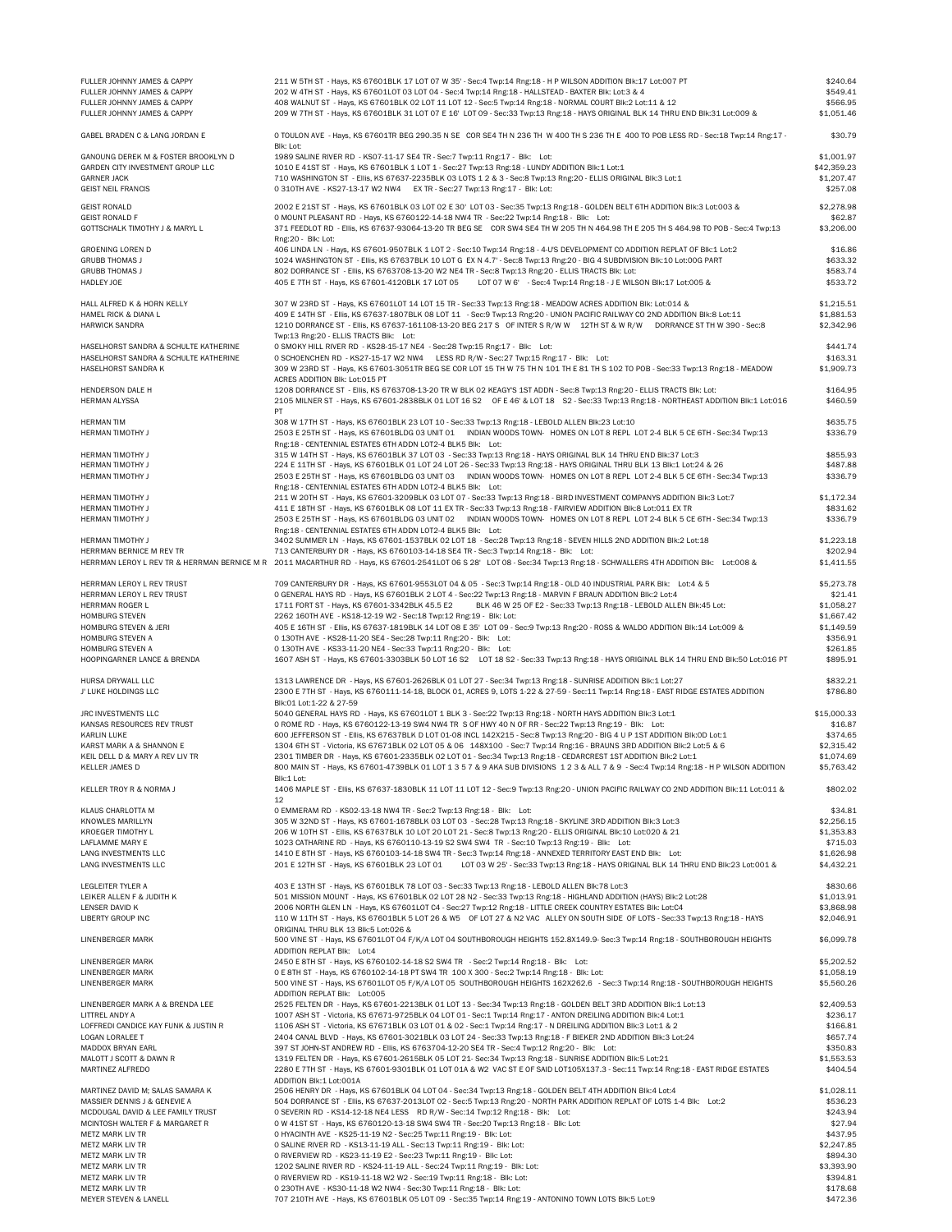| FULLER JOHNNY JAMES & CAPPY                        | 211 W 5TH ST - Hays, KS 67601BLK 17 LOT 07 W 35' - Sec:4 Twp:14 Rng:18 - H P WILSON ADDITION BIK:17 Lot:007 PT                                                                                                | \$240.64               |
|----------------------------------------------------|---------------------------------------------------------------------------------------------------------------------------------------------------------------------------------------------------------------|------------------------|
| FULLER JOHNNY JAMES & CAPPY                        | 202 W 4TH ST - Hays, KS 67601L0T 03 L0T 04 - Sec: 4 Twp: 14 Rng: 18 - HALLSTEAD - BAXTER Blk: Lot: 3 & 4                                                                                                      | \$549.41               |
| FULLER JOHNNY JAMES & CAPPY                        | 408 WALNUT ST - Hays, KS 67601BLK 02 LOT 11 LOT 12 - Sec:5 Twp:14 Rng:18 - NORMAL COURT BIK:2 Lot:11 & 12                                                                                                     | \$566.95               |
| FULLER JOHNNY JAMES & CAPPY                        | 209 W 7TH ST - Hays, KS 67601BLK 31 LOT 07 E 16' LOT 09 - Sec:33 Twp:13 Rng:18 - HAYS ORIGINAL BLK 14 THRU END BIk:31 Lot:009 &                                                                               | \$1,051.46             |
| GABEL BRADEN C & LANG JORDAN E                     | 0 TOULON AVE - Hays, KS 67601TR BEG 290.35 N SE COR SE4 TH N 236 TH W 400 TH S 236 TH E 400 TO POB LESS RD - Sec:18 Twp:14 Rng:17 -                                                                           | \$30.79                |
|                                                    | Blk: Lot:                                                                                                                                                                                                     |                        |
| GANOUNG DEREK M & FOSTER BROOKLYN D                | 1989 SALINE RIVER RD - KS07-11-17 SE4 TR - Sec: 7 Twp: 11 Rng: 17 - Blk: Lot:                                                                                                                                 | \$1,001.97             |
| GARDEN CITY INVESTMENT GROUP LLC                   | 1010 E 41ST ST - Hays, KS 67601BLK 1 LOT 1 - Sec: 27 Twp: 13 Rng: 18 - LUNDY ADDITION Blk: 1 Lot: 1                                                                                                           | \$42,359.23            |
| GARNER JACK                                        | 710 WASHINGTON ST - Ellis, KS 67637-2235BLK 03 LOTS 1 2 & 3 - Sec:8 Twp:13 Rng:20 - ELLIS ORIGINAL BIk:3 Lot:1                                                                                                | \$1,207.47             |
| GEIST NEIL FRANCIS                                 | 0 310TH AVE - KS27-13-17 W2 NW4 EX TR - Sec: 27 Twp: 13 Rng: 17 - Blk: Lot:                                                                                                                                   | \$257.08               |
| GEIST RONALD                                       | 2002 E 21ST ST - Hays, KS 67601BLK 03 LOT 02 E 30' LOT 03 - Sec:35 Twp:13 Rng:18 - GOLDEN BELT 6TH ADDITION BIK:3 Lot:003 &                                                                                   | \$2,278.98             |
| GEIST RONALD F                                     | 0 MOUNT PLEASANT RD - Hays, KS 6760122-14-18 NW4 TR - Sec: 22 Twp: 14 Rng: 18 - Blk: Lot:                                                                                                                     | \$62.87                |
| GOTTSCHALK TIMOTHY J & MARYL L                     | 371 FEEDLOT RD - Ellis, KS 67637-93064-13-20 TR BEG SE COR SW4 SE4 TH W 205 TH N 464.98 TH E 205 TH S 464.98 TO POB - Sec:4 Twp:13                                                                            | \$3,206.00             |
|                                                    | Rng:20 - Blk: Lot:                                                                                                                                                                                            |                        |
| GROENING LOREN D                                   | 406 LINDA LN - Hays, KS 67601-9507BLK 1 LOT 2 - Sec:10 Twp:14 Rng:18 - 4-U'S DEVELOPMENT CO ADDITION REPLAT OF BIk:1 Lot:2                                                                                    | \$16.86                |
| <b>GRUBB THOMAS J</b>                              | 1024 WASHINGTON ST - Ellis, KS 67637BLK 10 LOT G EX N 4.7' - Sec:8 Twp:13 Rng:20 - BIG 4 SUBDIVISION BIk:10 Lot:00G PART                                                                                      | \$633.32               |
| GRUBB THOMAS J                                     | 802 DORRANCE ST - Ellis, KS 6763708-13-20 W2 NE4 TR - Sec:8 Twp:13 Rng:20 - ELLIS TRACTS Blk: Lot:                                                                                                            | \$583.74               |
| HADLEY JOE                                         | 405 E 7TH ST - Hays, KS 67601-4120BLK 17 LOT 05<br>LOT 07 W 6' - Sec: 4 Twp: 14 Rng: 18 - J E WILSON Blk: 17 Lot: 005 &                                                                                       | \$533.72               |
|                                                    |                                                                                                                                                                                                               |                        |
| HALL ALFRED K & HORN KELLY                         | 307 W 23RD ST - Hays, KS 67601LOT 14 LOT 15 TR - Sec:33 Twp:13 Rng:18 - MEADOW ACRES ADDITION BIK: Lot:014 &                                                                                                  | \$1,215.51             |
| HAMEL RICK & DIANA L                               | 409 E 14TH ST - Ellis, KS 67637-1807BLK 08 LOT 11 - Sec:9 Twp:13 Rng:20 - UNION PACIFIC RAILWAY CO 2ND ADDITION Blk:8 Lot:11                                                                                  | \$1,881.53             |
| HARWICK SANDRA                                     | 1210 DORRANCE ST - Ellis, KS 67637-161108-13-20 BEG 217 S OF INTER S R/W W 12TH ST & W R/W DORRANCE ST TH W 390 - Sec:8                                                                                       | \$2,342.96             |
|                                                    | Twp:13 Rng:20 - ELLIS TRACTS Blk: Lot:                                                                                                                                                                        |                        |
| HASELHORST SANDRA & SCHULTE KATHERINE              | O SMOKY HILL RIVER RD - KS28-15-17 NE4 - Sec: 28 Twp: 15 Rng: 17 - Blk: Lot:                                                                                                                                  | \$441.74               |
| HASELHORST SANDRA & SCHULTE KATHERINE              | 0 SCHOENCHEN RD - KS27-15-17 W2 NW4 LESS RD R/W - Sec: 27 Twp: 15 Rng: 17 - Blk: Lot:                                                                                                                         | \$163.31               |
| HASELHORST SANDRA K                                | 309 W 23RD ST - Hays, KS 67601-3051TR BEG SE COR LOT 15 TH W 75 TH N 101 TH E 81 TH S 102 TO POB - Sec:33 Twp:13 Rng:18 - MEADOW                                                                              | \$1,909.73             |
|                                                    | ACRES ADDITION Blk: Lot:015 PT<br>1208 DORRANCE ST - Ellis, KS 6763708-13-20 TR W BLK 02 KEAGY'S 1ST ADDN - Sec:8 Twp:13 Rng:20 - ELLIS TRACTS Blk: Lot:                                                      |                        |
| HENDERSON DALE H<br>HERMAN ALYSSA                  | 2105 MILNER ST - Hays, KS 67601-2838BLK 01 LOT 16 S2 OF E 46' & LOT 18 S2 - Sec:33 Twp:13 Rng:18 - NORTHEAST ADDITION BIK:1 Lot:016                                                                           | \$164.95<br>\$460.59   |
|                                                    | PT                                                                                                                                                                                                            |                        |
| HERMAN TIM                                         | 308 W 17TH ST - Hays, KS 67601BLK 23 L0T 10 - Sec:33 Twp:13 Rng:18 - LEBOLD ALLEN Blk:23 Lot:10                                                                                                               | \$635.75               |
| HERMAN TIMOTHY J                                   | 2503 E 25TH ST - Hays, KS 67601BLDG 03 UNIT 01 INDIAN WOODS TOWN- HOMES ON LOT 8 REPL LOT 2-4 BLK 5 CE 6TH - Sec:34 Twp:13                                                                                    | \$336.79               |
|                                                    | Rng:18 - CENTENNIAL ESTATES 6TH ADDN LOT2-4 BLK5 Blk: Lot:                                                                                                                                                    |                        |
| HERMAN TIMOTHY J                                   | 315 W 14TH ST - Hays, KS 67601BLK 37 LOT 03 - Sec:33 Twp:13 Rng:18 - HAYS ORIGINAL BLK 14 THRU END BIk:37 Lot:3                                                                                               | \$855.93               |
| <b>HERMAN TIMOTHY J</b>                            | 224 E 11TH ST - Hays, KS 67601BLK 01 LOT 24 LOT 26 - Sec:33 Twp:13 Rng:18 - HAYS ORIGINAL THRU BLK 13 Blk:1 Lot:24 & 26                                                                                       | \$487.88               |
| HERMAN TIMOTHY J                                   | 2503 E 25TH ST - Hays, KS 67601BLDG 03 UNIT 03 INDIAN WOODS TOWN- HOMES ON LOT 8 REPL LOT 2-4 BLK 5 CE 6TH - Sec:34 Twp:13                                                                                    | \$336.79               |
|                                                    | Rng:18 - CENTENNIAL ESTATES 6TH ADDN LOT2-4 BLK5 Blk: Lot:                                                                                                                                                    |                        |
| HERMAN TIMOTHY J                                   | 211 W 20TH ST - Hays, KS 67601-3209BLK 03 LOT 07 - Sec:33 Twp:13 Rng:18 - BIRD INVESTMENT COMPANYS ADDITION BIK:3 Lot:7                                                                                       | \$1,172.34             |
| HERMAN TIMOTHY J                                   | 411 E 18TH ST - Hays, KS 67601BLK 08 LOT 11 EX TR - Sec:33 Twp:13 Rng:18 - FAIRVIEW ADDITION BIK:8 Lot:011 EX TR                                                                                              | \$831.62               |
| HERMAN TIMOTHY J                                   | 2503 E 25TH ST - Hays, KS 67601BLDG 03 UNIT 02  INDIAN WOODS TOWN- HOMES ON LOT 8 REPL LOT 2-4 BLK 5 CE 6TH - Sec:34 Twp:13                                                                                   | \$336.79               |
|                                                    | Rng:18 - CENTENNIAL ESTATES 6TH ADDN LOT2-4 BLK5 Blk: Lot:                                                                                                                                                    |                        |
| HERMAN TIMOTHY J                                   | 3402 SUMMER LN - Hays, KS 67601-1537BLK 02 LOT 18 - Sec:28 Twp:13 Rng:18 - SEVEN HILLS 2ND ADDITION BIK:2 Lot:18                                                                                              | \$1,223.18             |
| HERRMAN BERNICE M REV TR                           | 713 CANTERBURY DR - Hays, KS 6760103-14-18 SE4 TR - Sec:3 Twp:14 Rng:18 - Blk: Lot:                                                                                                                           | \$202.94               |
|                                                    | HERRMAN LEROY L REV TR & HERRMAN BERNICE M R 2011 MACARTHUR RD - Hays, KS 67601-2541LOT 06 S 28' LOT 08 - Sec:34 Twp:13 Rng:18 - SCHWALLERS 4TH ADDITION BIK: Lot:008 &                                       | \$1,411.55             |
|                                                    |                                                                                                                                                                                                               |                        |
| HERRMAN LEROY L REV TRUST                          | 709 CANTERBURY DR - Hays, KS 67601-9553LOT 04 & 05 - Sec:3 Twp:14 Rng:18 - OLD 40 INDUSTRIAL PARK Blk: Lot:4 & 5                                                                                              | \$5,273.78             |
| HERRMAN LEROY L REV TRUST                          | 0 GENERAL HAYS RD - Hays, KS 67601BLK 2 LOT 4 - Sec:22 Twp:13 Rng:18 - MARVIN F BRAUN ADDITION BIK:2 Lot:4                                                                                                    | \$21.41                |
| HERRMAN ROGER L                                    | 1711 FORT ST - Hays, KS 67601-3342BLK 45.5 E2<br>BLK 46 W 25 OF E2 - Sec:33 Twp:13 Rng:18 - LEBOLD ALLEN Blk:45 Lot:                                                                                          | \$1,058.27             |
| HOMBURG STEVEN                                     | 2262 160TH AVE - KS18-12-19 W2 - Sec:18 Twp:12 Rng:19 - Blk: Lot:                                                                                                                                             | \$1,667.42             |
| HOMBURG STEVEN & JERI                              | 405 E 16TH ST - Ellis, KS 67637-1819BLK 14 LOT 08 E 35' LOT 09 - Sec:9 Twp:13 Rng:20 - ROSS & WALDO ADDITION Blk:14 Lot:009 &                                                                                 | \$1,149.59             |
| HOMBURG STEVEN A<br>HOMBURG STEVEN A               | 0 130TH AVE - KS28-11-20 SE4 - Sec:28 Twp:11 Rng:20 - Blk: Lot:                                                                                                                                               | \$356.91<br>\$261.85   |
| HOOPINGARNER LANCE & BRENDA                        | 0 130TH AVE - KS33-11-20 NE4 - Sec:33 Twp:11 Rng:20 - Blk: Lot:<br>1607 ASH ST - Hays, KS 67601-3303BLK 50 LOT 16 S2 LOT 18 S2 - Sec:33 Twp:13 Rng:18 - HAYS ORIGINAL BLK 14 THRU END BIk:50 Lot:016 PT       | \$895.91               |
|                                                    |                                                                                                                                                                                                               |                        |
| HURSA DRYWALL LLC                                  | 1313 LAWRENCE DR - Hays, KS 67601-2626BLK 01 LOT 27 - Sec:34 Twp:13 Rng:18 - SUNRISE ADDITION BIK:1 Lot:27                                                                                                    | \$832.21               |
| J' LUKE HOLDINGS LLC                               | 2300 E 7TH ST - Hays, KS 6760111-14-18, BLOCK 01, ACRES 9, LOTS 1-22 & 27-59 - Sec:11 Twp:14 Rng:18 - EAST RIDGE ESTATES ADDITION                                                                             | \$786.80               |
|                                                    | Blk:01 Lot:1-22 & 27-59                                                                                                                                                                                       |                        |
| JRC INVESTMENTS LLC                                | 5040 GENERAL HAYS RD - Hays, KS 67601LOT 1 BLK 3 - Sec:22 Twp:13 Rng:18 - NORTH HAYS ADDITION BIk:3 Lot:1                                                                                                     | \$15,000.33            |
| KANSAS RESOURCES REV TRUST                         | 0 ROME RD - Hays, KS 6760122-13-19 SW4 NW4 TR S OF HWY 40 N OF RR - Sec: 22 Twp: 13 Rng: 19 - Blk: Lot:                                                                                                       | \$16.87                |
| KARLIN LUKE                                        | 600 JEFFERSON ST - Ellis, KS 67637BLK D LOT 01-08 INCL 142X215 - Sec:8 Twp:13 Rng:20 - BIG 4 U P 1ST ADDITION BIK:0D Lot:1                                                                                    | \$374.65               |
| KARST MARK A & SHANNON E                           | 1304 6TH ST - Victoria, KS 67671BLK 02 LOT 05 & 06 148X100 - Sec: 7 Twp:14 Rng:16 - BRAUNS 3RD ADDITION Blk:2 Lot:5 & 6                                                                                       | \$2,315.42             |
| KEIL DELL D & MARY A REV LIV TR                    | 2301 TIMBER DR - Hays, KS 67601-2335BLK 02 LOT 01 - Sec:34 Twp:13 Rng:18 - CEDARCREST 1ST ADDITION BIK:2 Lot:1                                                                                                | \$1,074.69             |
| KELLER JAMES D                                     | 800 MAIN ST - Hays, KS 67601-4739BLK 01 LOT 1 3 5 7 & 9 AKA SUB DIVISIONS 1 2 3 & ALL 7 & 9 - Sec:4 Twp:14 Rng:18 - H P WILSON ADDITION                                                                       | \$5,763.42             |
|                                                    | BIK:1 Lot:                                                                                                                                                                                                    |                        |
| KELLER TROY R & NORMA J                            | 1406 MAPLE ST - Ellis, KS 67637-1830BLK 11 LOT 11 LOT 12 - Sec:9 Twp:13 Rng:20 - UNION PACIFIC RAILWAY CO 2ND ADDITION Blk:11 Lot:011 &                                                                       | \$802.02               |
|                                                    | 12                                                                                                                                                                                                            |                        |
| KLAUS CHARLOTTA M                                  | O EMMERAM RD - KS02-13-18 NW4 TR - Sec: 2 Twp: 13 Rng: 18 - Blk: Lot:                                                                                                                                         | \$34.81                |
| KNOWLES MARILLYN                                   | 305 W 32ND ST - Hays, KS 67601-1678BLK 03 LOT 03 - Sec:28 Twp:13 Rng:18 - SKYLINE 3RD ADDITION BIK:3 Lot:3                                                                                                    | \$2,256.15             |
| KROEGER TIMOTHY L                                  | 206 W 10TH ST - Ellis, KS 67637BLK 10 LOT 20 LOT 21 - Sec:8 Twp:13 Rng:20 - ELLIS ORIGINAL Blk:10 Lot:020 & 21<br>1023 CATHARINE RD - Hays, KS 6760110-13-19 S2 SW4 SW4 TR - Sec:10 Twp:13 Rng:19 - Blk: Lot: | \$1,353.83             |
| LAFLAMME MARY E<br>LANG INVESTMENTS LLC            | 1410 E 8TH ST - Hays, KS 6760103-14-18 SW4 TR - Sec:3 Twp:14 Rng:18 - ANNEXED TERRITORY EAST END BIK: Lot:                                                                                                    | \$715.03<br>\$1,626.98 |
| LANG INVESTMENTS LLC                               | 201 E 12TH ST - Hays, KS 67601BLK 23 LOT 01 LOT 03 W 25' - Sec:33 Twp:13 Rng:18 - HAYS ORIGINAL BLK 14 THRU END BIk:23 Lot:001 &                                                                              | \$4,432.21             |
|                                                    |                                                                                                                                                                                                               |                        |
| LEGLEITER TYLER A                                  | 403 E 13TH ST - Hays, KS 67601BLK 78 LOT 03 - Sec:33 Twp:13 Rng:18 - LEBOLD ALLEN Blk:78 Lot:3                                                                                                                | \$830.66               |
| LEIKER ALLEN F & JUDITH K                          | 501 MISSION MOUNT - Hays, KS 67601BLK 02 L0T 28 N2 - Sec:33 Twp:13 Rng:18 - HIGHLAND ADDITION (HAYS) BIK:2 Lot:28                                                                                             | \$1,013.91             |
| LENSER DAVID K                                     | 2006 NORTH GLEN LN - Hays, KS 67601LOT C4 - Sec: 27 Twp: 12 Rng: 18 - LITTLE CREEK COUNTRY ESTATES BIK: Lot: C4                                                                                               | \$3,868.98             |
| LIBERTY GROUP INC                                  | 110 W 11TH ST - Hays, KS 67601BLK 5 LOT 26 & W5 OF LOT 27 & N2 VAC ALLEY ON SOUTH SIDE OF LOTS - Sec:33 Twp:13 Rng:18 - HAYS                                                                                  | \$2,046.91             |
|                                                    | ORIGINAL THRU BLK 13 Blk:5 Lot:026 &                                                                                                                                                                          |                        |
| LINENBERGER MARK                                   | 500 VINE ST - Hays, KS 67601LOT 04 F/K/A LOT 04 SOUTHBOROUGH HEIGHTS 152.8X149.9- Sec:3 Twp:14 Rng:18 - SOUTHBOROUGH HEIGHTS                                                                                  | \$6,099.78             |
|                                                    | ADDITION REPLAT Blk: Lot:4                                                                                                                                                                                    |                        |
| LINENBERGER MARK                                   | 2450 E 8TH ST - Hays, KS 6760102-14-18 S2 SW4 TR - Sec: 2 Twp: 14 Rng: 18 - Blk: Lot:                                                                                                                         | \$5,202.52             |
| LINENBERGER MARK                                   | 0 E 8TH ST - Hays, KS 6760102-14-18 PT SW4 TR 100 X 300 - Sec:2 Twp:14 Rng:18 - Blk: Lot:                                                                                                                     | \$1,058.19             |
| LINENBERGER MARK                                   | 500 VINE ST - Hays, KS 67601LOT 05 F/K/A LOT 05 SOUTHBOROUGH HEIGHTS 162X262.6 - Sec:3 Twp:14 Rng:18 - SOUTHBOROUGH HEIGHTS                                                                                   | \$5,560.26             |
|                                                    | ADDITION REPLAT Blk: Lot:005                                                                                                                                                                                  |                        |
| LINENBERGER MARK A & BRENDA LEE                    | 2525 FELTEN DR - Hays, KS 67601-2213BLK 01 LOT 13 - Sec:34 Twp:13 Rng:18 - GOLDEN BELT 3RD ADDITION BIk:1 Lot:13                                                                                              | \$2,409.53             |
| LITTREL ANDY A                                     | 1007 ASH ST - Victoria, KS 67671-9725BLK 04 LOT 01 - Sec:1 Twp:14 Rng:17 - ANTON DREILING ADDITION Blk:4 Lot:1                                                                                                | \$236.17               |
| LOFFREDI CANDICE KAY FUNK & JUSTIN R               | 1106 ASH ST - Victoria, KS 67671BLK 03 LOT 01 & 02 - Sec:1 Twp:14 Rng:17 - N DREILING ADDITION BIK:3 Lot:1 & 2                                                                                                | \$166.81               |
| LOGAN LORALEE T                                    | 2404 CANAL BLVD - Hays, KS 67601-3021BLK 03 LOT 24 - Sec:33 Twp:13 Rng:18 - F BIEKER 2ND ADDITION BIK:3 Lot:24                                                                                                | \$657.74               |
| MADDOX BRYAN EARL                                  | 397 ST JOHN-ST ANDREW RD - Ellis, KS 6763704-12-20 SE4 TR - Sec:4 Twp:12 Rng:20 - Blk: Lot:                                                                                                                   | \$350.83               |
| MALOTT J SCOTT & DAWN R                            | 1319 FELTEN DR - Hays, KS 67601-2615BLK 05 LOT 21- Sec:34 Twp:13 Rng:18 - SUNRISE ADDITION BIK:5 Lot:21                                                                                                       | \$1,553.53             |
| MARTINEZ ALFREDO                                   | 2280 E 7TH ST - Hays, KS 67601-9301BLK 01 LOT 01A & W2 VAC ST E OF SAID LOT105X137.3 - Sec:11 Twp:14 Rng:18 - EAST RIDGE ESTATES                                                                              | \$404.54               |
|                                                    | ADDITION Blk:1 Lot:001A                                                                                                                                                                                       |                        |
| MARTINEZ DAVID M; SALAS SAMARA K                   | 2506 HENRY DR - Hays, KS 67601BLK 04 LOT 04 - Sec:34 Twp:13 Rng:18 - GOLDEN BELT 4TH ADDITION BIK:4 Lot:4                                                                                                     | \$1,028.11             |
| MASSIER DENNIS J & GENEVIE A                       | 504 DORRANCE ST - Ellis, KS 67637-2013LOT 02 - Sec:5 Twp:13 Rng:20 - NORTH PARK ADDITION REPLAT OF LOTS 1-4 Blk: Lot:2                                                                                        | \$536.23               |
| MCDOUGAL DAVID & LEE FAMILY TRUST                  | O SEVERIN RD - KS14-12-18 NE4 LESS RD R/W - Sec:14 Twp:12 Rng:18 - Blk: Lot:                                                                                                                                  | \$243.94<br>\$27.94    |
| MCINTOSH WALTER F & MARGARET R<br>METZ MARK LIV TR | 0 W 41ST ST - Hays, KS 6760120-13-18 SW4 SW4 TR - Sec: 20 Twp: 13 Rng: 18 - Blk: Lot:<br>0 HYACINTH AVE - KS25-11-19 N2 - Sec: 25 Twp: 11 Rng: 19 - Blk: Lot:                                                 | \$437.95               |
| METZ MARK LIV TR                                   | O SALINE RIVER RD - KS13-11-19 ALL - Sec:13 Twp:11 Rng:19 - Blk: Lot:                                                                                                                                         | \$2,247.85             |
| METZ MARK LIV TR                                   | 0 RIVERVIEW RD - KS23-11-19 E2 - Sec:23 Twp:11 Rng:19 - Blk: Lot:                                                                                                                                             | \$894.30               |
| METZ MARK LIV TR                                   | 1202 SALINE RIVER RD - KS24-11-19 ALL - Sec:24 Twp:11 Rng:19 - Blk: Lot:                                                                                                                                      | \$3,393.90             |
| METZ MARK LIV TR                                   | 0 RIVERVIEW RD - KS19-11-18 W2 W2 - Sec:19 Twp:11 Rng:18 - Blk: Lot:                                                                                                                                          | \$394.81               |
| METZ MARK LIV TR                                   | 0 230TH AVE - KS30-11-18 W2 NW4 - Sec:30 Twp:11 Rng:18 - Blk: Lot:                                                                                                                                            | \$178.68               |
| MEYER STEVEN & LANELL                              | 707 210TH AVE - Hays, KS 67601BLK 05 LOT 09 - Sec:35 Twp:14 Rng:19 - ANTONINO TOWN LOTS Blk:5 Lot:9                                                                                                           | \$472.36               |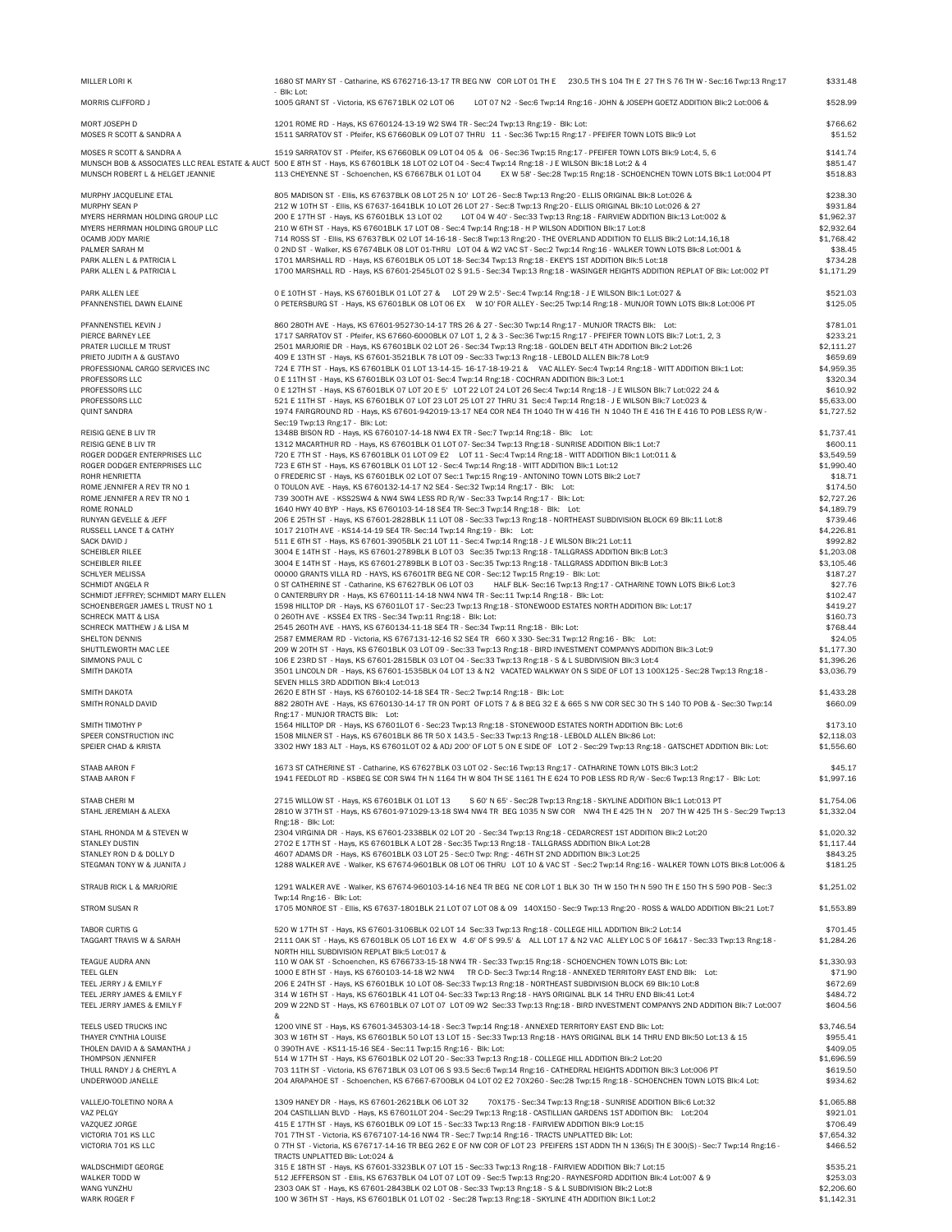| MILLER LORI K                                                      | 1680 ST MARY ST - Catharine, KS 6762716-13-17 TR BEG NW COR LOT 01 TH E 230.5 TH S 104 TH E 27 TH S 76 TH W - Sec:16 Twp:13 Rng:17                                                                                                                                                                | \$331.48                 |
|--------------------------------------------------------------------|---------------------------------------------------------------------------------------------------------------------------------------------------------------------------------------------------------------------------------------------------------------------------------------------------|--------------------------|
| MORRIS CLIFFORD J                                                  | - Blk: Lot:<br>1005 GRANT ST - Victoria, KS 67671BLK 02 LOT 06<br>LOT 07 N2 - Sec:6 Twp:14 Rng:16 - JOHN & JOSEPH GOETZ ADDITION BIK:2 Lot:006 &                                                                                                                                                  | \$528.99                 |
| MORT JOSEPH D<br>MOSES R SCOTT & SANDRA A                          | 1201 ROME RD - Hays, KS 6760124-13-19 W2 SW4 TR - Sec: 24 Twp: 13 Rng: 19 - Blk: Lot:<br>1511 SARRATOV ST - Pfeifer, KS 67660BLK 09 LOT 07 THRU 11 - Sec:36 Twp:15 Rng:17 - PFEIFER TOWN LOTS BIK:9 Lot                                                                                           | \$766.62<br>\$51.52      |
| MOSES R SCOTT & SANDRA A                                           | 1519 SARRATOV ST - Pfeifer, KS 67660BLK 09 LOT 04 05 & 06 - Sec:36 Twp:15 Rng:17 - PFEIFER TOWN LOTS Blk:9 Lot:4, 5, 6                                                                                                                                                                            | \$141.74                 |
| MUNSCH ROBERT L & HELGET JEANNIE                                   | MUNSCH BOB & ASSOCIATES LLC REAL ESTATE & AUCT 500 E 8TH ST - Hays, KS 67601BLK 18 LOT 02 LOT 04 - Sec:4 Twp:14 Rng:18 - J E WILSON BIk:18 Lot:2 & 4<br>113 CHEYENNE ST - Schoenchen, KS 67667BLK 01 LOT 04<br>EX W 58' - Sec:28 Twp:15 Rng:18 - SCHOENCHEN TOWN LOTS Blk:1 Lot:004 PT            | \$851.47<br>\$518.83     |
| MURPHY JACQUELINE ETAL                                             | 805 MADISON ST - Ellis, KS 67637BLK 08 LOT 25 N 10' LOT 26 - Sec:8 Twp:13 Rng:20 - ELLIS ORIGINAL Blk:8 Lot:026 &                                                                                                                                                                                 | \$238.30                 |
| MURPHY SEAN P                                                      | 212 W 10TH ST - Ellis, KS 67637-1641BLK 10 LOT 26 LOT 27 - Sec:8 Twp:13 Rng:20 - ELLIS ORIGINAL BIk:10 Lot:026 & 27                                                                                                                                                                               | \$931.84                 |
| MYERS HERRMAN HOLDING GROUP LLC<br>MYERS HERRMAN HOLDING GROUP LLC | LOT 04 W 40' - Sec:33 Twp:13 Rng:18 - FAIRVIEW ADDITION Blk:13 Lot:002 &<br>200 E 17TH ST - Hays, KS 67601BLK 13 LOT 02<br>210 W 6TH ST - Hays, KS 67601BLK 17 LOT 08 - Sec: 4 Twp: 14 Rng: 18 - H P WILSON ADDITION BIk: 17 Lot: 8                                                               | \$1,962.37<br>\$2,932.64 |
| OCAMB JODY MARIE                                                   | 714 ROSS ST - Ellis, KS 67637BLK 02 LOT 14-16-18 - Sec:8 Twp:13 Rng:20 - THE OVERLAND ADDITION TO ELLIS Blk:2 Lot:14,16,18                                                                                                                                                                        | \$1,768.42               |
| PALMER SARAH M                                                     | 0 2ND ST - Walker, KS 67674BLK 08 LOT 01-THRU LOT 04 & W2 VAC ST - Sec: 2 Twp:14 Rng:16 - WALKER TOWN LOTS BIK:8 Lot:001 &                                                                                                                                                                        | \$38.45                  |
| PARK ALLEN L & PATRICIA L<br>PARK ALLEN L & PATRICIA L             | 1701 MARSHALL RD - Hays, KS 67601BLK 05 LOT 18- Sec:34 Twp:13 Rng:18 - EKEY'S 1ST ADDITION BIK:5 Lot:18<br>1700 MARSHALL RD - Hays, KS 67601-2545LOT 02 S 91.5 - Sec:34 Twp:13 Rng:18 - WASINGER HEIGHTS ADDITION REPLAT OF BIK: Lot:002 PT                                                       | \$734.28<br>\$1,171.29   |
| PARK ALLEN LEE<br>PFANNENSTIEL DAWN ELAINE                         | 0 E 10TH ST - Hays, KS 67601BLK 01 LOT 27 & LOT 29 W 2.5' - Sec:4 Twp:14 Rng:18 - J E WILSON Blk:1 Lot:027 &<br>O PETERSBURG ST - Hays, KS 67601BLK 08 LOT 06 EX W 10' FOR ALLEY - Sec:25 Twp:14 Rng:18 - MUNJOR TOWN LOTS BIk:8 Lot:006 PT                                                       | \$521.03<br>\$125.05     |
| PFANNENSTIEL KEVIN J                                               | 860 280TH AVE - Hays, KS 67601-952730-14-17 TRS 26 & 27 - Sec:30 Twp:14 Rng:17 - MUNJOR TRACTS Blk: Lot:                                                                                                                                                                                          | \$781.01                 |
| PIERCE BARNEY LEE<br>PRATER LUCILLE M TRUST                        | 1717 SARRATOV ST - Pfeifer, KS 67660-6000BLK 07 LOT 1, 2 & 3 - Sec:36 Twp:15 Rng:17 - PFEIFER TOWN LOTS Blk:7 Lot:1, 2, 3<br>2501 MARJORIE DR - Hays, KS 67601BLK 02 LOT 26 - Sec:34 Twp:13 Rng:18 - GOLDEN BELT 4TH ADDITION BIk:2 Lot:26                                                        | \$233.21<br>\$2,111.27   |
| PRIETO JUDITH A & GUSTAVO                                          | 409 E 13TH ST - Hays, KS 67601-3521BLK 78 LOT 09 - Sec:33 Twp:13 Rng:18 - LEBOLD ALLEN Blk:78 Lot:9                                                                                                                                                                                               | \$659.69                 |
| PROFESSIONAL CARGO SERVICES INC                                    | 724 E 7TH ST - Hays, KS 67601BLK 01 LOT 13-14-15-16-17-18-19-21 & VAC ALLEY- Sec:4 Twp:14 Rng:18 - WITT ADDITION BIk:1 Lot:                                                                                                                                                                       | \$4,959.35               |
| PROFESSORS LLC<br>PROFESSORS LLC                                   | 0 E 11TH ST - Hays, KS 67601BLK 03 LOT 01- Sec:4 Twp:14 Rng:18 - COCHRAN ADDITION BIk:3 Lot:1<br>0 E 12TH ST - Hays, KS 67601BLK 07 LOT 20 E 5' LOT 22 LOT 24 LOT 26 Sec:4 Twp:14 Rng:18 - J E WILSON BIk:7 Lot:022 24 &                                                                          | \$320.34<br>\$610.92     |
| PROFESSORS LLC                                                     | 521 E 11TH ST - Hays, KS 67601BLK 07 LOT 23 LOT 25 LOT 27 THRU 31 Sec:4 Twp:14 Rng:18 - J E WILSON Blk:7 Lot:023 &                                                                                                                                                                                | \$5,633.00               |
| <b>QUINT SANDRA</b>                                                | 1974 FAIRGROUND RD - Hays, KS 67601-942019-13-17 NE4 COR NE4 TH 1040 TH W 416 TH N 1040 TH E 416 TH E 416 TO POB LESS R/W -<br>Sec: 19 Twp: 13 Rng: 17 - Blk: Lot:                                                                                                                                | \$1,727.52               |
| REISIG GENE B LIV TR                                               | 1348B BISON RD - Hays, KS 6760107-14-18 NW4 EX TR - Sec: 7 Twp:14 Rng:18 - Blk: Lot:                                                                                                                                                                                                              | \$1.737.41               |
| REISIG GENE B LIV TR                                               | 1312 MACARTHUR RD - Hays, KS 67601BLK 01 LOT 07- Sec:34 Twp:13 Rng:18 - SUNRISE ADDITION BIK:1 Lot:7<br>720 E 7TH ST - Hays, KS 67601BLK 01 LOT 09 E2 LOT 11 - Sec: 4 Twp: 14 Rng: 18 - WITT ADDITION Blk: 1 Lot: 011 &                                                                           | \$600.11                 |
| ROGER DODGER ENTERPRISES LLC<br>ROGER DODGER ENTERPRISES LLC       | 723 E 6TH ST - Hays, KS 67601BLK 01 LOT 12 - Sec:4 Twp:14 Rng:18 - WITT ADDITION BIK:1 Lot:12                                                                                                                                                                                                     | \$3,549.59<br>\$1,990.40 |
| ROHR HENRIETTA                                                     | O FREDERIC ST - Hays, KS 67601BLK 02 LOT 07 Sec:1 Twp:15 Rng:19 - ANTONINO TOWN LOTS Blk:2 Lot:7                                                                                                                                                                                                  | \$18.71                  |
| ROME JENNIFER A REV TR NO 1                                        | 0 TOULON AVE - Hays, KS 6760132-14-17 N2 SE4 - Sec:32 Twp:14 Rng:17 - Blk: Lot:<br>739 300TH AVE - KSS2SW4 & NW4 SW4 LESS RD R/W - Sec:33 Twp:14 Rng:17 - Blk: Lot:                                                                                                                               | \$174.50<br>\$2,727.26   |
| ROME JENNIFER A REV TR NO 1<br>ROME RONALD                         | 1640 HWY 40 BYP - Hays, KS 6760103-14-18 SE4 TR- Sec:3 Twp:14 Rng:18 - Blk: Lot:                                                                                                                                                                                                                  | \$4,189.79               |
| RUNYAN GEVELLE & JEFF                                              | 206 E 25TH ST - Hays, KS 67601-2828BLK 11 LOT 08 - Sec:33 Twp:13 Rng:18 - NORTHEAST SUBDIVISION BLOCK 69 Blk:11 Lot:8                                                                                                                                                                             | \$739.46                 |
| RUSSELL LANCE T & CATHY                                            | 1017 210TH AVE - KS14-14-19 SE4 TR- Sec:14 Twp:14 Rng:19 - Blk: Lot:                                                                                                                                                                                                                              | \$4,226.81               |
| SACK DAVID J<br>SCHEIBLER RILEE                                    | 511 E 6TH ST - Hays, KS 67601-3905BLK 21 LOT 11 - Sec:4 Twp:14 Rng:18 - J E WILSON BIk:21 Lot:11<br>3004 E 14TH ST - Hays, KS 67601-2789BLK B LOT 03 Sec:35 Twp:13 Rng:18 - TALLGRASS ADDITION BIK:B Lot:3                                                                                        | \$992.82<br>\$1,203.08   |
| <b>SCHEIBLER RILEE</b>                                             | 3004 E 14TH ST - Hays, KS 67601-2789BLK B LOT 03 - Sec:35 Twp:13 Rng:18 - TALLGRASS ADDITION BIK:B Lot:3                                                                                                                                                                                          | \$3,105.46               |
| SCHLYER MELISSA                                                    | 00000 GRANTS VILLA RD - HAYS, KS 67601TR BEG NE COR - Sec:12 Twp:15 Rng:19 - Blk: Lot:                                                                                                                                                                                                            | \$187.27                 |
| <b>SCHMIDT ANGELA R</b><br>SCHMIDT JEFFREY; SCHMIDT MARY ELLEN     | 0 ST CATHERINE ST - Catharine, KS 67627BLK 06 LOT 03<br>HALF BLK- Sec:16 Twp:13 Rng:17 - CATHARINE TOWN LOTS Blk:6 Lot:3<br>O CANTERBURY DR - Hays, KS 6760111-14-18 NW4 NW4 TR - Sec:11 Twp:14 Rng:18 - Blk: Lot:                                                                                | \$27.76<br>\$102.47      |
| SCHOENBERGER JAMES L TRUST NO 1                                    | 1598 HILLTOP DR - Hays, KS 67601LOT 17 - Sec:23 Twp:13 Rng:18 - STONEWOOD ESTATES NORTH ADDITION Blk: Lot:17                                                                                                                                                                                      | \$419.27                 |
| <b>SCHRECK MATT &amp; LISA</b>                                     | 0 260TH AVE - KSSE4 EX TRS - Sec:34 Twp:11 Rng:18 - Blk: Lot:                                                                                                                                                                                                                                     | \$160.73                 |
| SCHRECK MATTHEW J & LISA M<br>SHELTON DENNIS                       | 2545 260TH AVE - HAYS, KS 6760134-11-18 SE4 TR - Sec:34 Twp:11 Rng:18 - Blk: Lot:<br>2587 EMMERAM RD - Victoria, KS 6767131-12-16 S2 SE4 TR 660 X 330- Sec:31 Twp:12 Rng:16 - Blk: Lot:                                                                                                           | \$768.44<br>\$24.05      |
| SHUTTLEWORTH MAC LEE                                               | 209 W 20TH ST - Hays, KS 67601BLK 03 LOT 09 - Sec:33 Twp:13 Rng:18 - BIRD INVESTMENT COMPANYS ADDITION BIK:3 Lot:9                                                                                                                                                                                | \$1,177.30               |
| SIMMONS PAUL C<br>SMITH DAKOTA                                     | 106 E 23RD ST - Hays, KS 67601-2815BLK 03 LOT 04 - Sec:33 Twp:13 Rng:18 - S & L SUBDIVISION Blk:3 Lot:4<br>3501 LINCOLN DR - Hays, KS 67601-1535BLK 04 LOT 13 & N2 VACATED WALKWAY ON S SIDE OF LOT 13 100X125 - Sec:28 Twp:13 Rng:18 -<br>SEVEN HILLS 3RD ADDITION Blk: 4 Lot:013                | \$1,396.26<br>\$3,036.79 |
| SMITH DAKOTA<br>SMITH RONALD DAVID                                 | 2620 E 8TH ST - Hays, KS 6760102-14-18 SE4 TR - Sec: 2 Twp: 14 Rng: 18 - Blk: Lot:<br>882 280TH AVE - Hays, KS 6760130-14-17 TR ON PORT OF LOTS 7 & 8 BEG 32 E & 665 S NW COR SEC 30 TH S 140 TO POB & - Sec:30 Twp:14<br>Rng:17 - MUNJOR TRACTS Blk: Lot:                                        | \$1,433.28<br>\$660.09   |
| SMITH TIMOTHY P                                                    | 1564 HILLTOP DR - Hays, KS 67601LOT 6 - Sec: 23 Twp: 13 Rng: 18 - STONEWOOD ESTATES NORTH ADDITION BIK: Lot: 6                                                                                                                                                                                    | \$173.10                 |
| SPEER CONSTRUCTION INC<br>SPEIER CHAD & KRISTA                     | 1508 MILNER ST - Hays, KS 67601BLK 86 TR 50 X 143.5 - Sec:33 Twp:13 Rng:18 - LEBOLD ALLEN BIk:86 Lot:<br>3302 HWY 183 ALT - Hays, KS 67601LOT 02 & ADJ 200' OF LOT 5 ON E SIDE OF LOT 2 - Sec:29 Twp:13 Rng:18 - GATSCHET ADDITION Blk: Lot:                                                      | \$2,118.03<br>\$1,556.60 |
| STAAB AARON F<br>STAAB AARON F                                     | 1673 ST CATHERINE ST - Catharine, KS 67627BLK 03 LOT 02 - Sec:16 Twp:13 Rng:17 - CATHARINE TOWN LOTS Blk:3 Lot:2<br>1941 FEEDLOT RD - KSBEG SE COR SW4 TH N 1164 TH W 804 TH SE 1161 TH E 624 TO POB LESS RD R/W - Sec:6 Twp:13 Rng:17 - Blk: Lot:                                                | \$45.17<br>\$1,997.16    |
| STAAB CHERI M<br>STAHL JEREMIAH & ALEXA                            | 2715 WILLOW ST - Hays, KS 67601BLK 01 LOT 13<br>S 60' N 65' - Sec:28 Twp:13 Rng:18 - SKYLINE ADDITION Blk:1 Lot:013 PT<br>2810 W 37TH ST - Hays, KS 67601-971029-13-18 SW4 NW4 TR BEG 1035 N SW COR NW4 TH E 425 TH N 207 TH W 425 TH S - Sec:29 Twp:13                                           | \$1,754.06<br>\$1,332.04 |
| STAHL RHONDA M & STEVEN W                                          | Rng:18 - Blk: Lot:<br>2304 VIRGINIA DR - Hays, KS 67601-2338BLK 02 LOT 20 - Sec:34 Twp:13 Rng:18 - CEDARCREST 1ST ADDITION BIK:2 Lot:20                                                                                                                                                           | \$1,020.32               |
| <b>STANLEY DUSTIN</b>                                              | 2702 E 17TH ST - Hays, KS 67601BLK A LOT 28 - Sec:35 Twp:13 Rng:18 - TALLGRASS ADDITION BIk:A Lot:28                                                                                                                                                                                              | \$1,117.44               |
| STANLEY RON D & DOLLY D<br>STEGMAN TONY W & JUANITA J              | 4607 ADAMS DR - Hays, KS 67601BLK 03 LOT 25 - Sec: 0 Twp: Rng: - 46TH ST 2ND ADDITION BIk: 3 Lot: 25<br>1288 WALKER AVE - Walker, KS 67674-9601BLK 08 LOT 06 THRU LOT 10 & VAC ST - Sec:2 Twp:14 Rng:16 - WALKER TOWN LOTS Blk:8 Lot:006 &                                                        | \$843.25<br>\$181.25     |
| STRAUB RICK L & MARJORIE                                           | 1291 WALKER AVE - Walker, KS 67674-960103-14-16 NE4 TR BEG NE COR LOT 1 BLK 30 TH W 150 TH N 590 TH E 150 TH S 590 POB - Sec:3                                                                                                                                                                    | \$1,251.02               |
| STROM SUSAN R                                                      | Twp:14 Rng:16 - Blk: Lot:<br>1705 MONROE ST - Ellis, KS 67637-1801BLK 21 LOT 07 LOT 08 & 09 140X150 - Sec:9 Twp:13 Rng:20 - ROSS & WALDO ADDITION BIK:21 Lot:7                                                                                                                                    | \$1,553.89               |
| <b>TABOR CURTIS G</b>                                              | 520 W 17TH ST - Hays, KS 67601-3106BLK 02 LOT 14 Sec:33 Twp:13 Rng:18 - COLLEGE HILL ADDITION BIk:2 Lot:14                                                                                                                                                                                        | \$701.45                 |
| TAGGART TRAVIS W & SARAH<br>TEAGUE AUDRA ANN                       | 2111 0AK ST - Hays, KS 67601BLK 05 LOT 16 EX W 4.6' OF S 99.5' & ALL LOT 17 & N2 VAC ALLEY LOC S OF 16&17 - Sec:33 Twp:13 Rng:18 -<br>NORTH HILL SUBDIVISION REPLAT BIK:5 Lot:017 &<br>110 W OAK ST - Schoenchen, KS 6766733-15-18 NW4 TR - Sec:33 Twp:15 Rng:18 - SCHOENCHEN TOWN LOTS Blk: Lot: | \$1,284.26<br>\$1,330.93 |
| TEEL GLEN                                                          | 1000 E 8TH ST - Hays, KS 6760103-14-18 W2 NW4 TR C-D- Sec:3 Twp:14 Rng:18 - ANNEXED TERRITORY EAST END Blk: Lot:                                                                                                                                                                                  | \$71.90                  |
| TEEL JERRY J & EMILY F                                             | 206 E 24TH ST - Hays, KS 67601BLK 10 LOT 08- Sec:33 Twp:13 Rng:18 - NORTHEAST SUBDIVISION BLOCK 69 Blk:10 Lot:8                                                                                                                                                                                   | \$672.69                 |
| TEEL JERRY JAMES & EMILY F<br>TEEL JERRY JAMES & EMILY F           | 314 W 16TH ST - Hays, KS 67601BLK 41 LOT 04- Sec:33 Twp:13 Rng:18 - HAYS ORIGINAL BLK 14 THRU END Blk:41 Lot:4<br>209 W 22ND ST - Hays, KS 67601BLK 07 LOT 07 LOT 09 W2 Sec:33 Twp:13 Rng:18 - BIRD INVESTMENT COMPANYS 2ND ADDITION BIk:7 Lot:007<br>&                                           | \$484.72<br>\$604.56     |
| TEELS USED TRUCKS INC                                              | 1200 VINE ST - Hays, KS 67601-345303-14-18 - Sec: 3 Twp: 14 Rng: 18 - ANNEXED TERRITORY EAST END BIK: Lot:                                                                                                                                                                                        | \$3,746.54               |
| THAYER CYNTHIA LOUISE                                              | 303 W 16TH ST - Hays, KS 67601BLK 50 LOT 13 LOT 15 - Sec:33 Twp:13 Rng:18 - HAYS ORIGINAL BLK 14 THRU END BIK:50 Lot:13 & 15                                                                                                                                                                      | \$955.41                 |
| THOLEN DAVID A & SAMANTHA J<br>THOMPSON JENNIFER                   | 0 390TH AVE - KS11-15-16 SE4 - Sec:11 Twp:15 Rng:16 - Blk: Lot:<br>514 W 17TH ST - Hays, KS 67601BLK 02 LOT 20 - Sec:33 Twp:13 Rng:18 - COLLEGE HILL ADDITION BIk:2 Lot:20                                                                                                                        | \$409.05<br>\$1,696.59   |
| THULL RANDY J & CHERYL A<br>UNDERWOOD JANELLE                      | 703 11TH ST - Victoria, KS 67671BLK 03 LOT 06 S 93.5 Sec:6 Twp:14 Rng:16 - CATHEDRAL HEIGHTS ADDITION BIK:3 Lot:006 PT<br>204 ARAPAHOE ST - Schoenchen, KS 67667-6700BLK 04 LOT 02 E2 70X260 - Sec:28 Twp:15 Rng:18 - SCHOENCHEN TOWN LOTS Blk:4 Lot:                                             | \$619.50<br>\$934.62     |
| VALLEJO-TOLETINO NORA A                                            | 70X175 - Sec:34 Twp:13 Rng:18 - SUNRISE ADDITION BIk:6 Lot:32<br>1309 HANEY DR - Hays, KS 67601-2621BLK 06 LOT 32                                                                                                                                                                                 | \$1,065.88               |
| VAZ PELGY<br>VAZQUEZ JORGE                                         | 204 CASTILLIAN BLVD - Hays, KS 67601LOT 204 - Sec:29 Twp:13 Rng:18 - CASTILLIAN GARDENS 1ST ADDITION BIK: Lot:204<br>415 E 17TH ST - Hays, KS 67601BLK 09 LOT 15 - Sec:33 Twp:13 Rng:18 - FAIRVIEW ADDITION BIk:9 Lot:15                                                                          | \$921.01<br>\$706.49     |
| VICTORIA 701 KS LLC                                                | 701 7TH ST - Victoria, KS 6767107-14-16 NW4 TR - Sec: 7 Twp:14 Rng:16 - TRACTS UNPLATTED Blk: Lot:                                                                                                                                                                                                | \$7,654.32               |
| VICTORIA 701 KS LLC                                                | 0 7TH ST - Victoria, KS 676717-14-16 TR BEG 262 E OF NW COR OF LOT 23 PFEIFERS 1ST ADDN TH N 136(S) TH E 300(S) - Sec:7 Twp:14 Rng:16 -<br>TRACTS UNPLATTED Blk: Lot:024 &                                                                                                                        | \$466.52                 |
| WALDSCHMIDT GEORGE                                                 | 315 E 18TH ST - Hays, KS 67601-3323BLK 07 LOT 15 - Sec:33 Twp:13 Rng:18 - FAIRVIEW ADDITION BIk:7 Lot:15                                                                                                                                                                                          | \$535.21                 |
| WALKER TODD W<br>WANG YUNZHU                                       | 512 JEFFERSON ST - Ellis, KS 67637BLK 04 LOT 07 LOT 09 - Sec:5 Twp:13 Rng:20 - RAYNESFORD ADDITION Blk:4 Lot:007 & 9<br>2303 OAK ST - Hays, KS 67601-2843BLK 02 LOT 08 - Sec:33 Twp:13 Rng:18 - S & L SUBDIVISION Blk:2 Lot:8                                                                     | \$253.03<br>\$2,206.60   |
| WARK ROGER F                                                       | 100 W 36TH ST - Hays, KS 67601BLK 01 LOT 02 - Sec:28 Twp:13 Rng:18 - SKYLINE 4TH ADDITION BIk:1 Lot:2                                                                                                                                                                                             | \$1,142.31               |